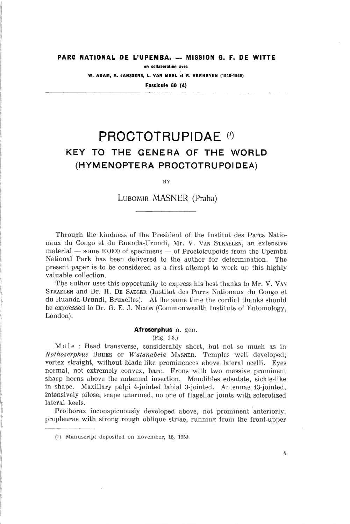# PARC NATIONAL DE L'UPEMBA. — MISSION G. F. DE WITTE

en collaboration avec

W. ADAM, A. JANSSENS, L. VAN MEEL et R. VERHEYEN (1946-1949)

Fascicule 60 (4)

# PROCTOTRUPIDAE (\*) KEY TO THE GENERA OF THE WORLD (HYMENOPTERA PROCTOTRUPOIDEA)

BY

### Lubomir MASNER (Praha)

Through the kindness of the President of the Institut des Parcs Nationaux du Congo et du Ruanda-Urundi, Mr. V. Van Straelen, an extensive material — some 10,000 of specimens — of Proctotrupoids from the Upemba National Park has been delivered to the author for détermination. The present paper is to be considered as <sup>a</sup> first attempt to work up this highly valuable collection.

The author uses this opportunity to express his best thanks to Mr. V. Van Straelen and Dr. H. De Saeger (Institut des Parcs Nationaux du Congo et du Ruanda-Urundi, Bruxelles). At the same time the cordial thanks should be expressed to Dr. G. E. J. Nixon (Commonwealth Institute of Entomology, London).

#### Afroserphus n. gen.

(Fig. 1-3.)

Maie : Head transverse, considerably short, but not so much as in Nothoserphus Brues or Watanabeia Masner. Temples well developed; vertex straight, without blade-like prominences above latéral ocelli. Eyes normal, not extremely convex, bare. Frons with two massive prominent sharp horns above the antennal insertion. Mandibles edentate, sickle-like in shape. Maxillary palpi 4-jointed labial 3-jointed. Antennae 13-jointed, intensively pilose; scape unarmed, no one of flagellar joints with sclerotized lateral keels.

Prothorax inconspicuously developed above, not prominent anteriorly; propleurae with strong rough oblique striae, running from the front-upper

4

 $(1)$  Manuscript deposited on november, 16. 1959.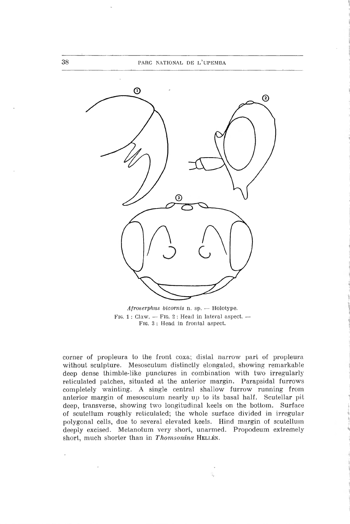

Afroserphus bicornis n. sp. — Holotype. FIG. 1 : Claw.  $-$  FIG. 2 : Head in lateral aspect.  $-$ Fig. <sup>3</sup> : Head in frontal aspect.

corner of propleura to the front coxa; distal narrow part of propleura without sculpture. Mesoscutum distinctly elongated, showing remarkable deep dense thimble-like punctures in combination with two irregularly reticulated patches, situated at the anterior margin. Parapsidal furrows completely wainting. A single central shallow furrow running from anterior margin of mesoscutum nearly up to its basai half. Scutellar pit deep, transverse, showing two longitudinal keels on the bottom. Surface of scutellum roughly reticulated; the whole surface divided in irregular polygonal cells, due to several elevated keels. Hind margin of scutellum deeply excised. Metanotum very short, unarmed. Propodeum extremely short, much shorter than in Thomsonina HELLÉN.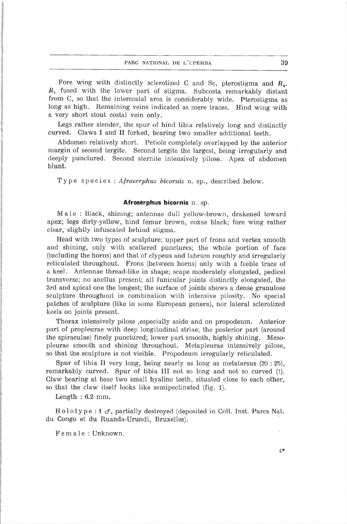Fore wing with distinctly sclerotized C and Sc, pterostigma and  $R_2$ .  $R_1$  fused with the lower part of stigma. Subcosta remarkably distant from C, so that the intercostal area is considerably wide. Pterostigma as long as high. Remaining veins indicated as mere traces. Hind wing with <sup>a</sup> very short stout costal vein only.

Legs rather slender, the spur of hind tibia relatively long and distinctly curved. Claws <sup>I</sup> and II forked, bearing two smaller additional teeth.

Abdomen relatively short. Petiole completely overlapped by the anterior margin of second tergite. Second tergite the largest, being irregularly and deeply punctured. Second sternite intensively pilose. Apex of abdomen blunt.

Type species : Afroserphus bicornis n. sp., described below.

### Afroserphus bicornis n. sp.

Maie : Black, shining; antennae dull yellow-brown, drakened toward apex; legs dirty-yellow, hind fémur brown, coxae black; fore wing rather clear, slightly infuscated behind stigma.

Head with two types of sculpture; upper part of frons and vertex smooth and shining, only with scattered punctures; the whole portion of face (including the horns) and that of clypeus and labrum roughly and irregularly reticulated throughoul. Frons (between horns) only with <sup>a</sup> feeble trace of <sup>a</sup> keel. Antennae thread-like in shape; scape moderately elongated, pedicel transverse; no anellus present; ail funicular joints distinctly elongated, the 3rd and apical one the longest; the surface of joints shows <sup>a</sup> dense granulose sculpture throughout in combination with intensive pilosity. No special patches of sculpture (like in some European genera), nor latéral sclerotized keels on joints present.

Thorax intensively pilose ,especially aside and on propodeum. Anterior part of propleurae with deep longitudinal striae; the posterior part (around the spiraculae) finely punctured; lower part smooth, highly shining. Mesopleurae smooth and shining throughout. Metapleurae intensively pilose, so that the sculpture is not visible. Propodeum irregularly reticulated.

Spur of tibia II very long, being nearly as long as metatarsus (20 : 25), remarkably curved. Spur of tibia III not so long and not so curved (!). Claw bearing at base two small hyaline teeth, situated close to each other, so that the claw itself looks like semipectinated (fig. 1).

Length : 6.2 mm.

Holotype : 1  $\sigma$ , partially destroyed (deposited in Coll. Inst. Parcs Nat. du Congo et du Ruanda-Urundi, Bruxelles).

Female : Unknown.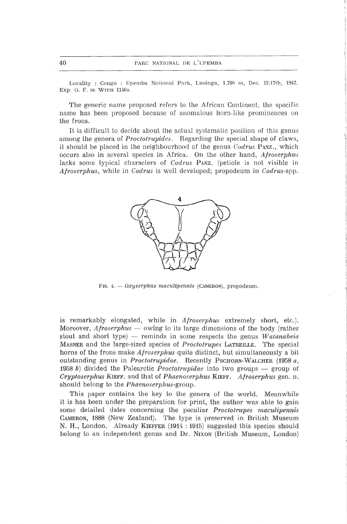Locality : Congo : Upeniba National Park, Lusinga, 1.760 m, Dec. 12-17th, 1947. Exp. G. F. DE WITTE 1146a.

The generic name proposed refers to the African Continent; the specific name has been proposed because of anomalous horn-like prominences on the frons.

It is difficult to décidé about the actual systematic position of this genus among the genera of Proctotrupides. Regarding the special shape of claws, it should be placed in the neighbourhood of the genus  $Codrus$  Panz., which occurs also in several species in Africa. On the other hand, Afroserphus lacks some typical characters of *Codrus* PANZ. (petiole is not visible in Afroserphus, while in Codrus is well developed; propodeum in Codrus-spp.



FIG. 4. - Oxyserphus maculipennis (CAMERON), propodeum.

is remarkably elongated, while in *Afroserphus* extremely short, etc.). Moreover,  $A$ *froserphus* — owing to its large dimensions of the body (rather stout and short type) — reminds in some respects the genus  $Watanabeia$ MASNER and the large-sized species of *Proctotrupes* LATREILLE. The special horns of the frons make Afroserphus quite distinct, but simultaneously <sup>a</sup> bit outstanding genus in *Proctotrupidae*. Recently PSCHORN-WALCHER (1958  $a$ , 1958 b) divided the Palearctic Proctotrupidae into two groups — group of Cryptoserphus KIEFF. and that of Phaenoserphus KIEFF. Afroserphus gen. n. should belong to the *Phaenoserphus*-group.

This paper contains the key to the genera of the world. Meanwhile it is has been under the preparation for print, the author was able to gain some detailed dates concerning the peculiar Proctotrupes maculipennis Cameron, 1888 (New Zealand). The type is preserved in British Museum N. H., London. Already Kieffer (1914 : 1915) suggested this species should belong to an independent genus and Dr. Nixon (British Museum, London)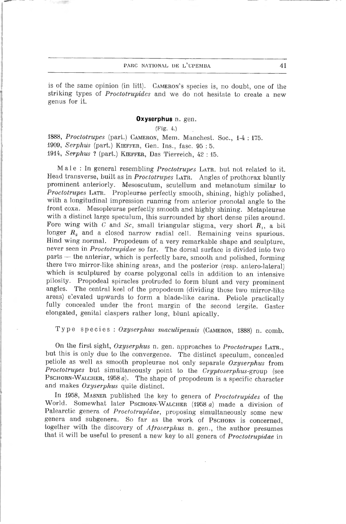### PARC NATIONAL DE L'UPEMBA 41

is of the same opinion (in litt). CAMERON's species is, no doubt, one of the striking types of Proctotrupides and we do not hesitate to create <sup>a</sup> new genus for it.

#### Oxyserphus n. gen.

(Fig. 4.)

1888, Proctotrupes (part.) CAMERON, Mem. Manchest. Soc., 1-4:175. 1909, Serphus (part.) KIEFFER, Gen. Ins., fasc. 95:5. 1914, Serphus ? (part.) Kieffer, Das Tierreich, <sup>42</sup> : 15.

Male : In general resembling Proctotrupes LATR. but not related to it. Head transverse, built as in *Proctotrupes* LATR. Angles of prothorax bluntly prominent anteriorly. Mesoscutum, scutellum and metanotum similar to Proctotrupes LATR. Propleurae perfectly smooth, shining, highly polished, with <sup>a</sup> longitudinal impression running from anterior pronotal angle to the front coxa. Mesopleurae perfectly smooth and highly shining. Metapleurae with a distinct large speculum, this surrounded by short dense piles around. Fore wing with  $C$  and  $Sc$ , small triangular stigma, very short  $R_1$ , a bit longer  $R_2$  and a closed narrow radial cell. Remaining veins spurious.<br>Hind wing normal. Propodeum of a very remarkable shape and sculpture, never seen in *Proctotrupidae* so far. The dorsal surface is divided into two parts — the anteriar, which is perfectly bare, smooth and polished, forming which is sculptured by coarse polygonal cells in addition to an intensive pilosity. Propodeal spiracles protruded to form blunt and very prominent angles. The central keel of the propodeum (dividing those two mirror-like areas) elevated upwards to form a blade-like carina. Petiole practically fully concealed under the front margin of the second tergite. Gaster elongated, génital claspers ralher long, blunt apically.

Type species : Oxyserphus maculipennis (Gameron, 1888) n. comb.

On the first sight, Oxyserphus n. gen. approaches to Proctotrupes LATR., but this is only due to the convergence. The distinct speculum, concealed petiole as well as smooth propleurae not only separate  $Oxyserphus$  from Proctotrupes but simultaneously point to the Cryptoserphus-group (see PSCHORN-WALCHER, 1958  $a$ ). The shape of propodeum is a specific character and makes Oxyserphus quite distinct.

In 1958, Masner published the key to genera of Proctotrupides of the World. Somewhat later Pschorn-Walcher (1958  $a$ ) made a division of Palearctic genera of *Proctotrupidae*, proposing simultaneously some new genera and subgenera. So far as the work of PSCHORN is concerned, together with the discovery of Afroserphus n. gen., the author presumes that it will be useful to present <sup>a</sup> new key to ail genera of Proctotrupidae in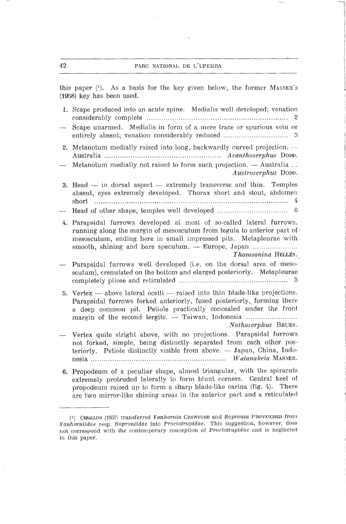### 42 PARC NATIONAL UE L'UPEMBA

this paper (1). As a basis for the key given below, the former MASNER's (f958) key has been used.

| 1. Scape produced into an acute spine. Medialis well developed; venation                                                                                                                                                                                                                              |
|-------------------------------------------------------------------------------------------------------------------------------------------------------------------------------------------------------------------------------------------------------------------------------------------------------|
| Scape unarmed. Medialis in form of a mere trace or spurious vein or                                                                                                                                                                                                                                   |
| 2. Metanotum medially raised into long, backwardly curved projection. -                                                                                                                                                                                                                               |
| Metanotum medially not raised to form such projection. - Australia<br>Austroserphus DODD.                                                                                                                                                                                                             |
| 3. Head $-$ in dorsal aspect $-$ extremely transverse and thin. Temples<br>absent, eyes extremely developed. Thorax short and stout, abdomen<br>short                                                                                                                                                 |
|                                                                                                                                                                                                                                                                                                       |
| 4. Parapsidal furrows developed at most of so-called lateral furrows,<br>running along the margin of mesoscutum from tegula to anterior part of<br>mesoscutum, ending here in small impressed pits. Metapleurae with<br>Thomsonina HELLÉN.                                                            |
| Parapsidal furrows well developed (i.e. on the dorsal area of meso-<br>scutum), crenulated on the bottom and elarged posteriorly. Metapleurae                                                                                                                                                         |
| 5. Vertex — above lateral ocelli — raised into thin blade-like projections.<br>Parapsidal furrows forked anteriorly, fused posteriorly, forming there<br>a deep common pit. Petiole practically concealed under the front<br>margin of the second tergite. - Taiwan, Indonesia<br>Nothoserphus BRUES. |
| Vertex quite stright above, with no projections. Parapsidal furrows<br>not forked, simple, being distinctly separated from each other pos-<br>teriorly. Petiole distinctly visible from above. - Japan, China, Indo-                                                                                  |
| 6. Propodeum of a peculiar shape, almost triangular, with the spiraculs<br>extremely protruded laterally to form blunt corners. Central keel of<br>propodeum raised up to form a sharp blade-like carina (fig. 4). There<br>are two mirror-like shining areas in the anterior part and a reticulated  |

<sup>(1)</sup> CEBALLOS (1957) transferred Vanhornia CRAWFORD and Ropronia PROVANCHER from Vanhorniidae resp. Roproniidae into Proctotrupidae. This suggestion, however, does not correspond with the contemporary conception of Proctotrupidae and is neglected in this paper.

 $\lambda$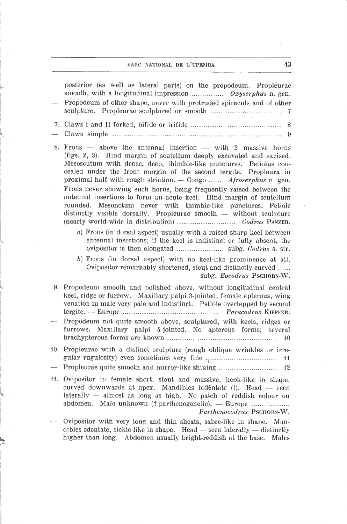### parc national de l'upemba 43

|                          | posterior (as well as lateral parts) on the propodeum. Propleurae<br>smooth, with a longitudinal impression  Oxyserphus n. gen.<br>Propodeum of other shape, never with protruded spiraculs and of other<br>-7                                                                                                                                                                                                                                                                                                                                                           |
|--------------------------|--------------------------------------------------------------------------------------------------------------------------------------------------------------------------------------------------------------------------------------------------------------------------------------------------------------------------------------------------------------------------------------------------------------------------------------------------------------------------------------------------------------------------------------------------------------------------|
|                          | 8                                                                                                                                                                                                                                                                                                                                                                                                                                                                                                                                                                        |
|                          | 8. Frons $-$ above the antennal insertion $-$ with 2 massive horns<br>(figs. 2, 3). Hind margin of scutellum deeply excavated and excised.<br>Mesoscutum with dense, deep, thimble-like punctures. Petiolus con-<br>cealed under the front margin of the second tergite. Propleura in<br>proximal half with rough striation. - Congo  Afroserphus n. gen.<br>Frons never showing such horns, being frequently raised between the<br>antennal insertions to form an acute keel. Hind margin of scutellum<br>rounded. Mesonotum never with thimble-like punctures. Petiole |
|                          | distinctly visible dorsally. Propleurae smooth - without sculpture                                                                                                                                                                                                                                                                                                                                                                                                                                                                                                       |
|                          | a) Frons (in dorsal aspect) usually with a raised sharp keel between<br>antennal insertions; if the keel is indistinct or fully absent, the                                                                                                                                                                                                                                                                                                                                                                                                                              |
|                          | b) Frons (in dorsal aspect) with no keel-like prominence at all.<br>Ovipositor remarkably shortened, stout and distinctly curved<br>subg. Eocodrus PSCHORN-W.                                                                                                                                                                                                                                                                                                                                                                                                            |
|                          | 9. Propodeum smooth and polished above, without longitudinal central<br>keel, ridge or furrow. Maxillary palpi 3-jointed; female apterous, wing<br>venation in male very pale and indistinct. Petiole overlapped by second                                                                                                                                                                                                                                                                                                                                               |
|                          | Propodeum not quite smooth above, sculptured, with keels, ridges or<br>furrows. Maxillary palpi 4-jointed. No apterous forms; several<br>10                                                                                                                                                                                                                                                                                                                                                                                                                              |
|                          | 10. Propleurae with a distinct sculpture (rough oblique wrinkles or irre-<br>11                                                                                                                                                                                                                                                                                                                                                                                                                                                                                          |
| $\overline{\phantom{0}}$ | Propleurae quite smooth and mirror-like shining<br>12                                                                                                                                                                                                                                                                                                                                                                                                                                                                                                                    |
|                          | 11. Ovipositor in female short, stout and massive, hook-like in shape,<br>curved downwards at apex. Mandibles bidentate (!). Head -- seen<br>laterally - almost as long as high. No patch of reddish colour on<br>Male unknown (? parthenogenetic). — Europe<br>abdomen.<br>Parthenocodrus PSCHORN-W.                                                                                                                                                                                                                                                                    |
|                          | Ovipositor with very long and thin sheats, sabre-like in shape. Man-<br>dibles edentate, sickle-like in shape. Head $-$ seen laterally $-$ distinctly<br>higher than long. Abdomen usually bright-reddish at the base.<br>Males                                                                                                                                                                                                                                                                                                                                          |
|                          |                                                                                                                                                                                                                                                                                                                                                                                                                                                                                                                                                                          |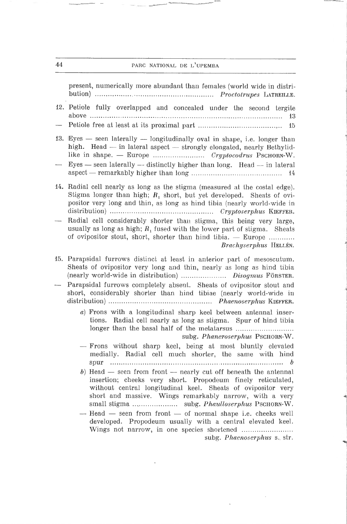### 44 **parc national de l'upemba**

present, numerically more abundant than females (world wide in distribution) Proctotru/jes Latreille. 12. Petiote fully overlapped and concealed under the second tergite above 13 — Petiote free at least at its proximal part <sup>15</sup> 13. Eyes  $-$  seen laterally  $-$  longitudinally oval in shape, i.e. longer than high. Head — in lateral aspect — strongly elongated, nearly Bethylidlike in shape. — Europe Cryptocodrus Pschorn-W. — Eyes  $-$  seen laterally  $-$  distinctly higher than long. Head  $-$  in lateral aspect — remarkably higher than long <sup>14</sup> 14. Radial cell nearly as long as the stigma (measured at the costal edge). Stigma longer than high;  $R_1$  short, but yet developed. Sheats of ovipositor very long and Lhin, as long as hind tibia (nearly world-wide in distribution) Cryptoserphus Kieffer. — Radial cell considerably shorter than stigma, this being very large, usually as long as high;  $R_1$  fused with the lower part of stigma. Sheats of ovipositor stout, short, shorter than hind tibia. — Europe Brachyserphus Hellén. 15. Parapsidal furrows distinct at least in anterior part of mesoscutum. Sheats of ovipositor very long and lhin, nearly as long as hind tibia (nearly world-wide in distribution) .................... Disogmus Förster. — Parapsidal furrows completely absent. Sheats of ovipositor stout and short, considerably shorter than hind tibiae (nearly world-wide in distribution) Phaenoserphus Kieffer.  $a)$  Frons with a longitudinal sharp keel between antennal insertions. Radial cell nearly as long as stigma. Spur of hind tibia longer than the basai half of the metatarsus subg. Phaneroserphus PSCHORN-W. •— Frons without sharp keel, being at most bluntly elevated medially. Radial cell much shorter, the same with hind spur b b) Head  $-$  seen from front  $-$  nearly cut off beneath the antennal insertion; cheeks very short. Propodeum finely reticulated, without central longitudinal keel. Sheats of ovipositor very short and massive. Wings remarkably narrow, with <sup>a</sup> very small stigma subg. Phaulloserphus Psciiorn-W. — Head — seen from front — of normal shape i.e. cheeks well developed. Propodeum usually with <sup>a</sup> central elevated keel. Wings not narrow, in one species shortened subg. Phaenoserphus s. str.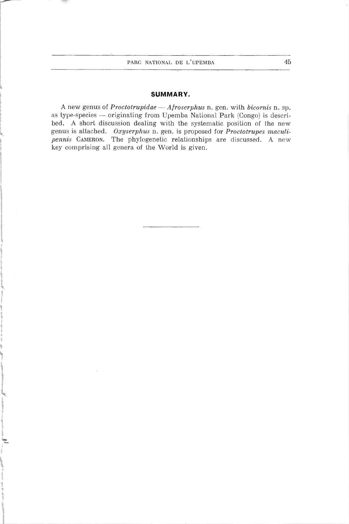### SUMMARY.

A new genus of *Proctotrupidae* - Afroserphus n. gen. with bicornis n. sp. as type-species — originating from Upemba National Park (Congo) is described. A short discussion dealing with the systematic position of Ihe new genus is attached. Oxyserphus n. gen. is proposed for Proctotrupes maculipennis CAMERON. The phylogenetic relationships are discussed. A new key comprising all genera of the World is given.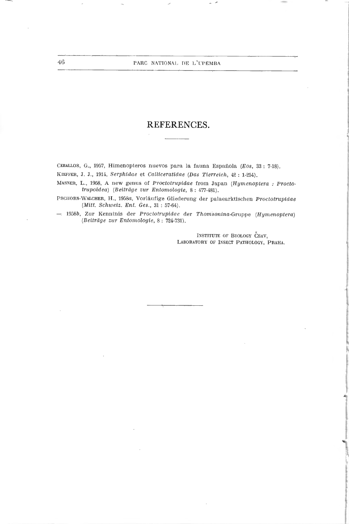### REFERENCES.

CEBALLOS, G., 1957, Himenopteros nuevos para la fauna Española (Eos, 33 : 7-18). Kieffer, J. J., 1914, Serphidae et Calliceratidae (Das Tierreich, <sup>42</sup> : 1-254).

MASNER, L., 1958, A new genus of Proctotrupidae from Japan (Hymenoptera : Proctotrupoidea) (Beitrdge zur Entomologie, 8 : 477-481).

PSCHORN-WALCHER, H., 1958a, Vorläufige Gliederung der palaearktischen Proctotrupidae (Mitt. Schweiz. Ent. Ges., 31 : 57-64).

—■ 1958b, Zur Kenntnis der Proctotrupidae der Thomsonina-Gruppe (Hgmenoptera) (Beitrâge zur Entomologie, <sup>8</sup> : 724-731).

> INSTITUTE OF BIOLOGY CSAV, LABORATORY OF INSECT PATHOLOGY, PRAHA.